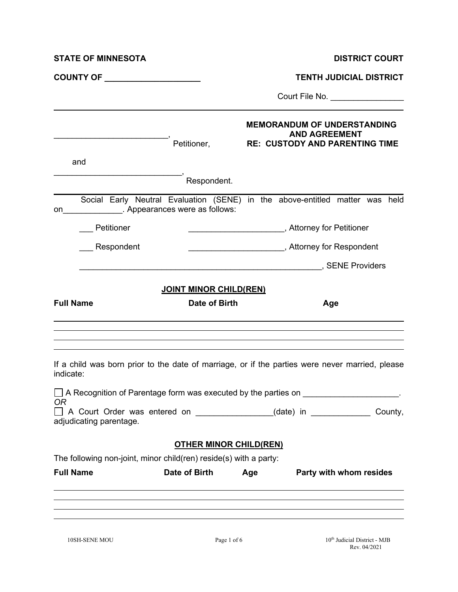| <b>STATE OF MINNESOTA</b>                                         |                                | <b>DISTRICT COURT</b>                                                                                                                                                                                                                                                        |  |  |  |
|-------------------------------------------------------------------|--------------------------------|------------------------------------------------------------------------------------------------------------------------------------------------------------------------------------------------------------------------------------------------------------------------------|--|--|--|
| COUNTY OF <b>Example 2018</b>                                     |                                | <b>TENTH JUDICIAL DISTRICT</b>                                                                                                                                                                                                                                               |  |  |  |
|                                                                   |                                | Court File No. ________________                                                                                                                                                                                                                                              |  |  |  |
|                                                                   | Petitioner,                    | <b>MEMORANDUM OF UNDERSTANDING</b><br><b>AND AGREEMENT</b><br><b>RE: CUSTODY AND PARENTING TIME</b>                                                                                                                                                                          |  |  |  |
| and                                                               |                                |                                                                                                                                                                                                                                                                              |  |  |  |
|                                                                   | Respondent.                    |                                                                                                                                                                                                                                                                              |  |  |  |
| on                                                                | . Appearances were as follows: | Social Early Neutral Evaluation (SENE) in the above-entitled matter was held                                                                                                                                                                                                 |  |  |  |
| Petitioner                                                        |                                |                                                                                                                                                                                                                                                                              |  |  |  |
| Respondent                                                        |                                | ___________________________, Attorney for Respondent                                                                                                                                                                                                                         |  |  |  |
|                                                                   |                                | <b>EXERCISE SENE Providers</b>                                                                                                                                                                                                                                               |  |  |  |
|                                                                   | <b>JOINT MINOR CHILD(REN)</b>  |                                                                                                                                                                                                                                                                              |  |  |  |
| <b>Full Name</b>                                                  | Date of Birth                  | Age                                                                                                                                                                                                                                                                          |  |  |  |
| indicate:<br><b>OR</b>                                            |                                | If a child was born prior to the date of marriage, or if the parties were never married, please<br>□ A Recognition of Parentage form was executed by the parties on ____________________.<br>A Court Order was entered on ________________(date) in _____________<br>County, |  |  |  |
| adjudicating parentage.                                           |                                |                                                                                                                                                                                                                                                                              |  |  |  |
| The following non-joint, minor child(ren) reside(s) with a party: | <b>OTHER MINOR CHILD(REN)</b>  |                                                                                                                                                                                                                                                                              |  |  |  |
| <b>Full Name</b>                                                  | Date of Birth                  | Party with whom resides<br>Age                                                                                                                                                                                                                                               |  |  |  |
|                                                                   |                                |                                                                                                                                                                                                                                                                              |  |  |  |
|                                                                   |                                |                                                                                                                                                                                                                                                                              |  |  |  |
|                                                                   |                                |                                                                                                                                                                                                                                                                              |  |  |  |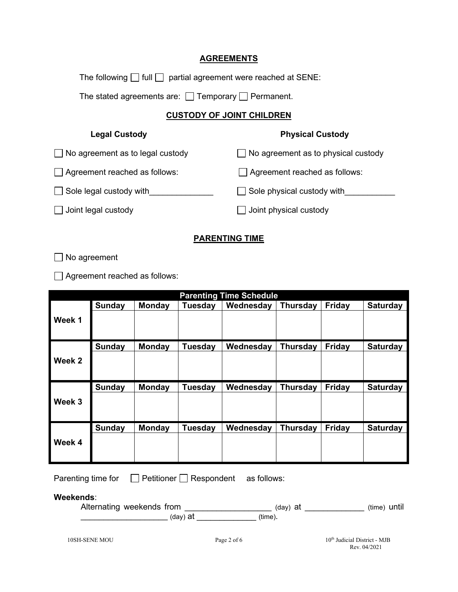## **AGREEMENTS**

The following  $\Box$  full  $\Box$  partial agreement were reached at SENE:

The stated agreements are:  $\Box$  Temporary  $\Box$  Permanent.

## **CUSTODY OF JOINT CHILDREN**

| <b>Legal Custody</b>                    | <b>Physical Custody</b>                    |
|-----------------------------------------|--------------------------------------------|
| $\Box$ No agreement as to legal custody | $\Box$ No agreement as to physical custody |
| Agreement reached as follows:           | Agreement reached as follows:              |
| $\Box$ Sole legal custody with          | Sole physical custody with                 |
| $\Box$ Joint legal custody              | $\Box$ Joint physical custody              |
|                                         |                                            |

## **PARENTING TIME**

No agreement

Agreement reached as follows:

|        |               |               |                | <b>Parenting Time Schedule</b> |                 |               |                 |
|--------|---------------|---------------|----------------|--------------------------------|-----------------|---------------|-----------------|
|        | Sunday        | <b>Monday</b> | <b>Tuesday</b> | Wednesday                      | <b>Thursday</b> | <b>Friday</b> | <b>Saturday</b> |
| Week 1 |               |               |                |                                |                 |               |                 |
|        | <b>Sunday</b> | <b>Monday</b> | <b>Tuesday</b> | Wednesday                      | <b>Thursday</b> | <b>Friday</b> | <b>Saturday</b> |
| Week 2 |               |               |                |                                |                 |               |                 |
|        | Sunday        | <b>Monday</b> | <b>Tuesday</b> | Wednesday                      | <b>Thursday</b> | Friday        | <b>Saturday</b> |
| Week 3 |               |               |                |                                |                 |               |                 |
|        | Sunday        | <b>Monday</b> | <b>Tuesday</b> | Wednesday                      | <b>Thursday</b> | <b>Friday</b> | <b>Saturday</b> |
| Week 4 |               |               |                |                                |                 |               |                 |

Parenting time for  $\Box$  Petitioner  $\Box$  Respondent as follows:

**Weekends**:

| Alternating weekends from | (day) at | (time) until |
|---------------------------|----------|--------------|
| (dav) at                  | ′time).  |              |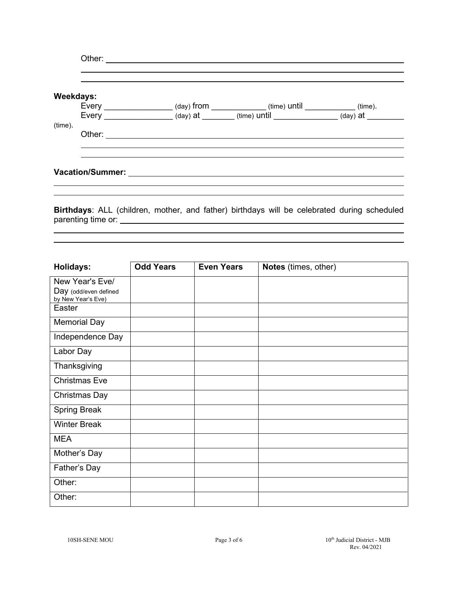|                                                              | Weekdays:    |
|--------------------------------------------------------------|--------------|
| (day) from _____________(time) until __________(time).       | Every $\_\_$ |
| (day) at _______ (time) until ______________ (day) at ______ | Every        |
|                                                              |              |
|                                                              | Other:       |
|                                                              |              |
|                                                              |              |
|                                                              |              |

**Birthdays**: ALL (children, mother, and father) birthdays will be celebrated during scheduled parenting time or:

| <b>Holidays:</b>                            | <b>Odd Years</b> | <b>Even Years</b> | Notes (times, other) |
|---------------------------------------------|------------------|-------------------|----------------------|
| New Year's Eve/                             |                  |                   |                      |
| Day (odd/even defined<br>by New Year's Eve) |                  |                   |                      |
| Easter                                      |                  |                   |                      |
| <b>Memorial Day</b>                         |                  |                   |                      |
| Independence Day                            |                  |                   |                      |
| Labor Day                                   |                  |                   |                      |
| Thanksgiving                                |                  |                   |                      |
| <b>Christmas Eve</b>                        |                  |                   |                      |
| Christmas Day                               |                  |                   |                      |
| <b>Spring Break</b>                         |                  |                   |                      |
| <b>Winter Break</b>                         |                  |                   |                      |
| <b>MEA</b>                                  |                  |                   |                      |
| Mother's Day                                |                  |                   |                      |
| Father's Day                                |                  |                   |                      |
| Other:                                      |                  |                   |                      |
| Other:                                      |                  |                   |                      |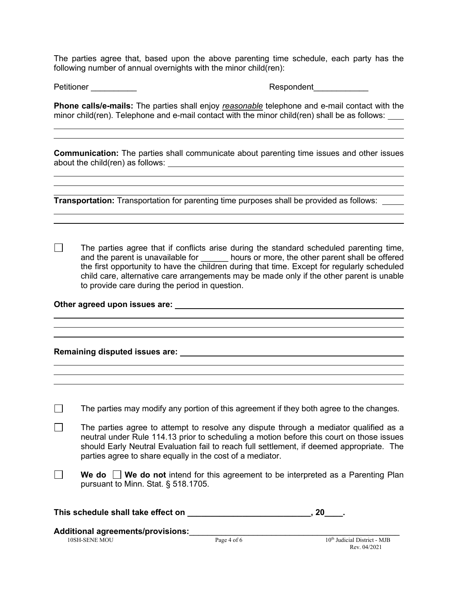The parties agree that, based upon the above parenting time schedule, each party has the following number of annual overnights with the minor child(ren):

Petitioner **Respondent** 

 $\overline{\phantom{a}}$ 

 $\overline{a}$ 

**Phone calls/e-mails:** The parties shall enjoy *reasonable* telephone and e-mail contact with the minor child(ren). Telephone and e-mail contact with the minor child(ren) shall be as follows:

**Communication:** The parties shall communicate about parenting time issues and other issues about the child(ren) as follows:

 $\overline{a}$ **Transportation:** Transportation for parenting time purposes shall be provided as follows:

 $\Box$ The parties agree that if conflicts arise during the standard scheduled parenting time, and the parent is unavailable for \_\_\_\_\_\_ hours or more, the other parent shall be offered the first opportunity to have the children during that time. Except for regularly scheduled child care, alternative care arrangements may be made only if the other parent is unable to provide care during the period in question.

 $\overline{a}$ 

**Other agreed upon issues are:**

**Remaining disputed issues are:**

|  | The parties may modify any portion of this agreement if they both agree to the changes. |  |  |  |  |  |  |
|--|-----------------------------------------------------------------------------------------|--|--|--|--|--|--|
|--|-----------------------------------------------------------------------------------------|--|--|--|--|--|--|

**The parties agree to attempt to resolve any dispute through a mediator qualified as a** neutral under Rule 114.13 prior to scheduling a motion before this court on those issues should Early Neutral Evaluation fail to reach full settlement, if deemed appropriate. The parties agree to share equally in the cost of a mediator.

 $\Box$ **We do We do not** intend for this agreement to be interpreted as a Parenting Plan pursuant to Minn. Stat. § 518.1705.

| This schedule shall take effect on |  |  |  |
|------------------------------------|--|--|--|
|------------------------------------|--|--|--|

 $\overline{a}$ 

 $\overline{\phantom{a}}$ 

**Additional agreements/provisions:**\_\_\_\_\_\_\_\_\_\_\_\_\_\_\_\_\_\_\_\_\_\_\_\_\_\_\_\_\_\_\_\_\_\_\_\_\_\_\_\_\_\_\_\_\_\_